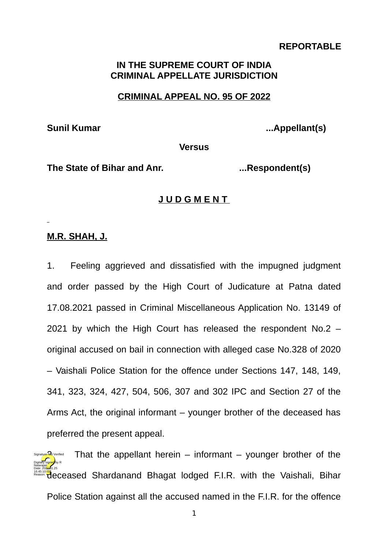# **REPORTABLE**

# **IN THE SUPREME COURT OF INDIA CRIMINAL APPELLATE JURISDICTION**

#### **CRIMINAL APPEAL NO. 95 OF 2022**

Sunil Kumar **... Sunil Kumar** ...Appellant(s)

**Versus**

**The State of Bihar and Anr. ...Respondent(s)**

## **J U D G M E N T**

#### **M.R. SHAH, J.**

1. Feeling aggrieved and dissatisfied with the impugned judgment and order passed by the High Court of Judicature at Patna dated 17.08.2021 passed in Criminal Miscellaneous Application No. 13149 of 2021 by which the High Court has released the respondent No.2 – original accused on bail in connection with alleged case No.328 of 2020 – Vaishali Police Station for the offence under Sections 147, 148, 149, 341, 323, 324, 427, 504, 506, 307 and 302 IPC and Section 27 of the Arms Act, the original informant – younger brother of the deceased has preferred the present appeal.

That the appellant herein – informant – younger brother of the deceased Shardanand Bhagat lodged F.I.R. with the Vaishali, Bihar Police Station against all the accused named in the F.I.R. for the offence Digitally signed by R Natarajan Date: 2022.01.25 16:45:10<sup>1ST</sup> Reason: Signature Not Verified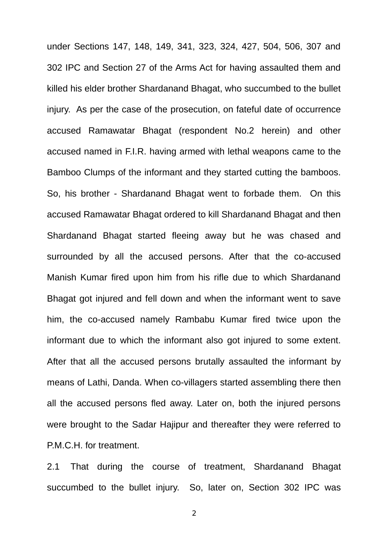under Sections 147, 148, 149, 341, 323, 324, 427, 504, 506, 307 and 302 IPC and Section 27 of the Arms Act for having assaulted them and killed his elder brother Shardanand Bhagat, who succumbed to the bullet injury. As per the case of the prosecution, on fateful date of occurrence accused Ramawatar Bhagat (respondent No.2 herein) and other accused named in F.I.R. having armed with lethal weapons came to the Bamboo Clumps of the informant and they started cutting the bamboos. So, his brother - Shardanand Bhagat went to forbade them. On this accused Ramawatar Bhagat ordered to kill Shardanand Bhagat and then Shardanand Bhagat started fleeing away but he was chased and surrounded by all the accused persons. After that the co-accused Manish Kumar fired upon him from his rifle due to which Shardanand Bhagat got injured and fell down and when the informant went to save him, the co-accused namely Rambabu Kumar fired twice upon the informant due to which the informant also got injured to some extent. After that all the accused persons brutally assaulted the informant by means of Lathi, Danda. When co-villagers started assembling there then all the accused persons fled away. Later on, both the injured persons were brought to the Sadar Hajipur and thereafter they were referred to P.M.C.H. for treatment.

2.1 That during the course of treatment, Shardanand Bhagat succumbed to the bullet injury. So, later on, Section 302 IPC was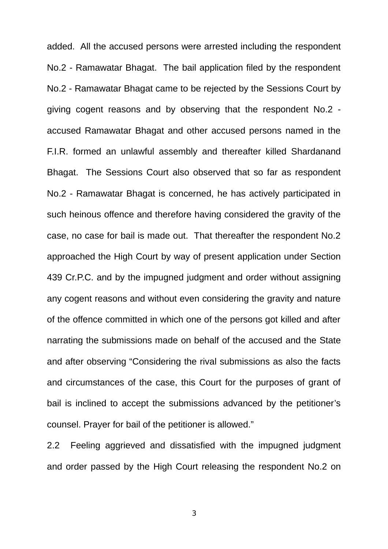added. All the accused persons were arrested including the respondent No.2 - Ramawatar Bhagat. The bail application filed by the respondent No.2 - Ramawatar Bhagat came to be rejected by the Sessions Court by giving cogent reasons and by observing that the respondent No.2 accused Ramawatar Bhagat and other accused persons named in the F.I.R. formed an unlawful assembly and thereafter killed Shardanand Bhagat. The Sessions Court also observed that so far as respondent No.2 - Ramawatar Bhagat is concerned, he has actively participated in such heinous offence and therefore having considered the gravity of the case, no case for bail is made out. That thereafter the respondent No.2 approached the High Court by way of present application under Section 439 Cr.P.C. and by the impugned judgment and order without assigning any cogent reasons and without even considering the gravity and nature of the offence committed in which one of the persons got killed and after narrating the submissions made on behalf of the accused and the State and after observing "Considering the rival submissions as also the facts and circumstances of the case, this Court for the purposes of grant of bail is inclined to accept the submissions advanced by the petitioner's counsel. Prayer for bail of the petitioner is allowed."

2.2 Feeling aggrieved and dissatisfied with the impugned judgment and order passed by the High Court releasing the respondent No.2 on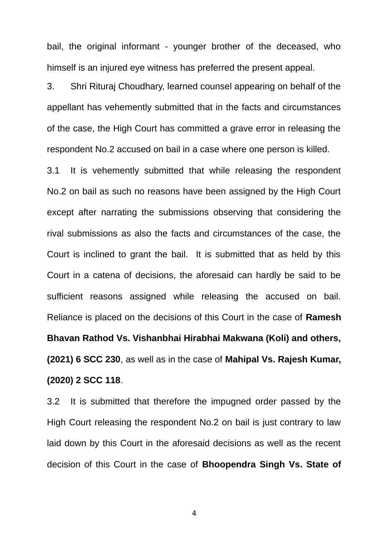bail, the original informant - younger brother of the deceased, who himself is an injured eye witness has preferred the present appeal.

3. Shri Rituraj Choudhary, learned counsel appearing on behalf of the appellant has vehemently submitted that in the facts and circumstances of the case, the High Court has committed a grave error in releasing the respondent No.2 accused on bail in a case where one person is killed.

3.1 It is vehemently submitted that while releasing the respondent No.2 on bail as such no reasons have been assigned by the High Court except after narrating the submissions observing that considering the rival submissions as also the facts and circumstances of the case, the Court is inclined to grant the bail. It is submitted that as held by this Court in a catena of decisions, the aforesaid can hardly be said to be sufficient reasons assigned while releasing the accused on bail. Reliance is placed on the decisions of this Court in the case of **Ramesh Bhavan Rathod Vs. Vishanbhai Hirabhai Makwana (Koli) and others, (2021) 6 SCC 230**, as well as in the case of **Mahipal Vs. Rajesh Kumar, (2020) 2 SCC 118**.

3.2 It is submitted that therefore the impugned order passed by the High Court releasing the respondent No.2 on bail is just contrary to law laid down by this Court in the aforesaid decisions as well as the recent decision of this Court in the case of **Bhoopendra Singh Vs. State of**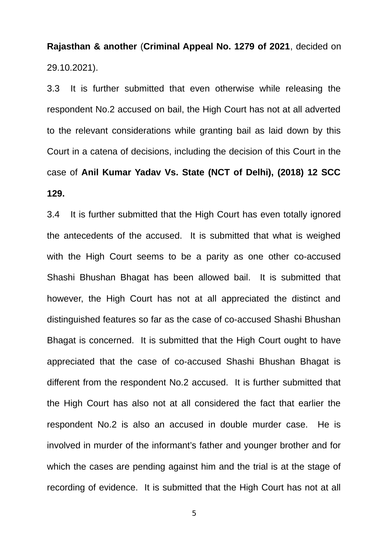**Rajasthan & another** (**Criminal Appeal No. 1279 of 2021**, decided on 29.10.2021).

3.3 It is further submitted that even otherwise while releasing the respondent No.2 accused on bail, the High Court has not at all adverted to the relevant considerations while granting bail as laid down by this Court in a catena of decisions, including the decision of this Court in the case of **Anil Kumar Yadav Vs. State (NCT of Delhi), (2018) 12 SCC 129.**

3.4 It is further submitted that the High Court has even totally ignored the antecedents of the accused. It is submitted that what is weighed with the High Court seems to be a parity as one other co-accused Shashi Bhushan Bhagat has been allowed bail. It is submitted that however, the High Court has not at all appreciated the distinct and distinguished features so far as the case of co-accused Shashi Bhushan Bhagat is concerned. It is submitted that the High Court ought to have appreciated that the case of co-accused Shashi Bhushan Bhagat is different from the respondent No.2 accused. It is further submitted that the High Court has also not at all considered the fact that earlier the respondent No.2 is also an accused in double murder case. He is involved in murder of the informant's father and younger brother and for which the cases are pending against him and the trial is at the stage of recording of evidence. It is submitted that the High Court has not at all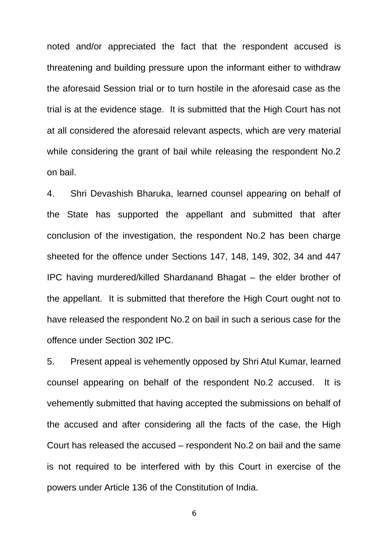noted and/or appreciated the fact that the respondent accused is threatening and building pressure upon the informant either to withdraw the aforesaid Session trial or to turn hostile in the aforesaid case as the trial is at the evidence stage. It is submitted that the High Court has not at all considered the aforesaid relevant aspects, which are very material while considering the grant of bail while releasing the respondent No.2 on bail.

4. Shri Devashish Bharuka, learned counsel appearing on behalf of the State has supported the appellant and submitted that after conclusion of the investigation, the respondent No.2 has been charge sheeted for the offence under Sections 147, 148, 149, 302, 34 and 447 IPC having murdered/killed Shardanand Bhagat – the elder brother of the appellant. It is submitted that therefore the High Court ought not to have released the respondent No.2 on bail in such a serious case for the offence under Section 302 IPC.

5. Present appeal is vehemently opposed by Shri Atul Kumar, learned counsel appearing on behalf of the respondent No.2 accused. It is vehemently submitted that having accepted the submissions on behalf of the accused and after considering all the facts of the case, the High Court has released the accused – respondent No.2 on bail and the same is not required to be interfered with by this Court in exercise of the powers under Article 136 of the Constitution of India.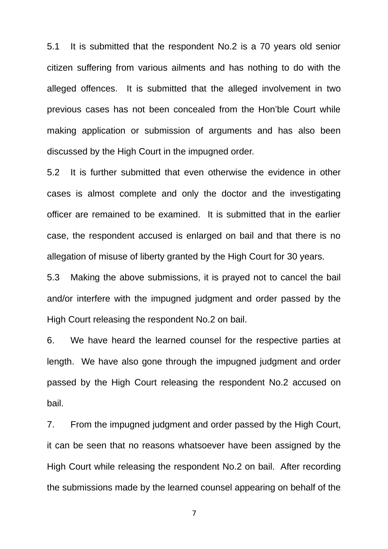5.1 It is submitted that the respondent No.2 is a 70 years old senior citizen suffering from various ailments and has nothing to do with the alleged offences. It is submitted that the alleged involvement in two previous cases has not been concealed from the Hon'ble Court while making application or submission of arguments and has also been discussed by the High Court in the impugned order.

5.2 It is further submitted that even otherwise the evidence in other cases is almost complete and only the doctor and the investigating officer are remained to be examined. It is submitted that in the earlier case, the respondent accused is enlarged on bail and that there is no allegation of misuse of liberty granted by the High Court for 30 years.

5.3 Making the above submissions, it is prayed not to cancel the bail and/or interfere with the impugned judgment and order passed by the High Court releasing the respondent No.2 on bail.

6. We have heard the learned counsel for the respective parties at length. We have also gone through the impugned judgment and order passed by the High Court releasing the respondent No.2 accused on bail.

7. From the impugned judgment and order passed by the High Court, it can be seen that no reasons whatsoever have been assigned by the High Court while releasing the respondent No.2 on bail. After recording the submissions made by the learned counsel appearing on behalf of the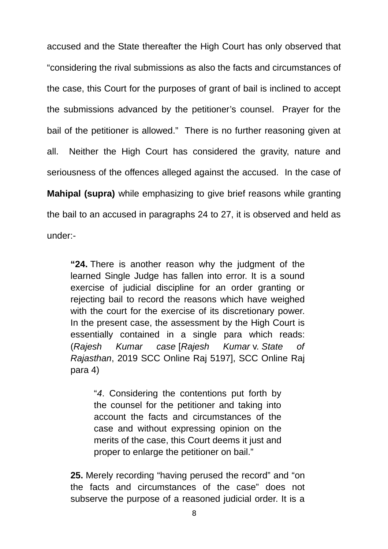accused and the State thereafter the High Court has only observed that "considering the rival submissions as also the facts and circumstances of the case, this Court for the purposes of grant of bail is inclined to accept the submissions advanced by the petitioner's counsel. Prayer for the bail of the petitioner is allowed." There is no further reasoning given at all. Neither the High Court has considered the gravity, nature and seriousness of the offences alleged against the accused. In the case of **Mahipal (supra)** while emphasizing to give brief reasons while granting the bail to an accused in paragraphs 24 to 27, it is observed and held as under:-

**"24.** There is another reason why the judgment of the learned Single Judge has fallen into error. It is a sound exercise of judicial discipline for an order granting or rejecting bail to record the reasons which have weighed with the court for the exercise of its discretionary power. In the present case, the assessment by the High Court is essentially contained in a single para which reads: (*Rajesh Kumar case* [*Rajesh Kumar* v. *State of Rajasthan*, 2019 SCC Online Raj 5197], SCC Online Raj para 4)

"*4*. Considering the contentions put forth by the counsel for the petitioner and taking into account the facts and circumstances of the case and without expressing opinion on the merits of the case, this Court deems it just and proper to enlarge the petitioner on bail."

**25.** Merely recording "having perused the record" and "on the facts and circumstances of the case" does not subserve the purpose of a reasoned judicial order. It is a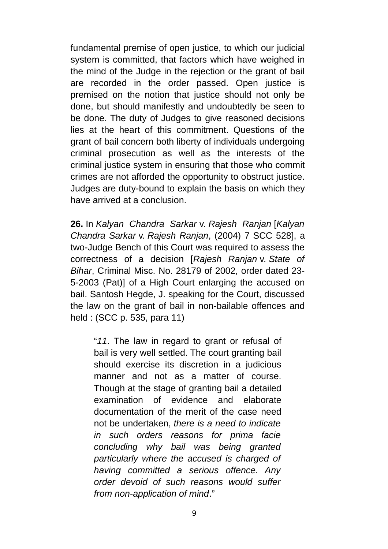fundamental premise of open justice, to which our judicial system is committed, that factors which have weighed in the mind of the Judge in the rejection or the grant of bail are recorded in the order passed. Open justice is premised on the notion that justice should not only be done, but should manifestly and undoubtedly be seen to be done. The duty of Judges to give reasoned decisions lies at the heart of this commitment. Questions of the grant of bail concern both liberty of individuals undergoing criminal prosecution as well as the interests of the criminal justice system in ensuring that those who commit crimes are not afforded the opportunity to obstruct justice. Judges are duty-bound to explain the basis on which they have arrived at a conclusion.

**26.** In *Kalyan Chandra Sarkar* v. *Rajesh Ranjan* [*Kalyan Chandra Sarkar* v. *Rajesh Ranjan*, (2004) 7 SCC 528], a two-Judge Bench of this Court was required to assess the correctness of a decision [*Rajesh Ranjan* v. *State of Bihar*, Criminal Misc. No. 28179 of 2002, order dated 23- 5-2003 (Pat)] of a High Court enlarging the accused on bail. Santosh Hegde, J. speaking for the Court, discussed the law on the grant of bail in non-bailable offences and held : (SCC p. 535, para 11)

"*11*. The law in regard to grant or refusal of bail is very well settled. The court granting bail should exercise its discretion in a judicious manner and not as a matter of course. Though at the stage of granting bail a detailed examination of evidence and elaborate documentation of the merit of the case need not be undertaken, *there is a need to indicate in such orders reasons for prima facie concluding why bail was being granted particularly where the accused is charged of having committed a serious offence. Any order devoid of such reasons would suffer from non-application of mind*."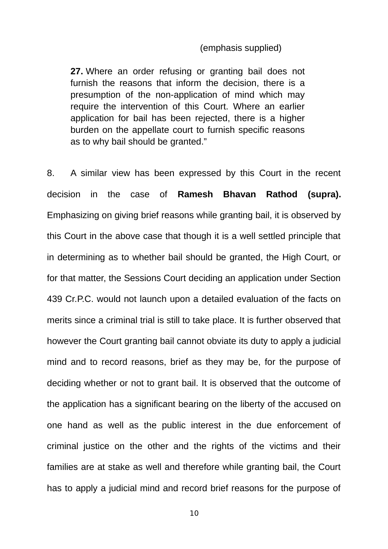## (emphasis supplied)

**27.** Where an order refusing or granting bail does not furnish the reasons that inform the decision, there is a presumption of the non-application of mind which may require the intervention of this Court. Where an earlier application for bail has been rejected, there is a higher burden on the appellate court to furnish specific reasons as to why bail should be granted."

8. A similar view has been expressed by this Court in the recent decision in the case of **Ramesh Bhavan Rathod (supra).** Emphasizing on giving brief reasons while granting bail, it is observed by this Court in the above case that though it is a well settled principle that in determining as to whether bail should be granted, the High Court, or for that matter, the Sessions Court deciding an application under Section 439 Cr.P.C. would not launch upon a detailed evaluation of the facts on merits since a criminal trial is still to take place. It is further observed that however the Court granting bail cannot obviate its duty to apply a judicial mind and to record reasons, brief as they may be, for the purpose of deciding whether or not to grant bail. It is observed that the outcome of the application has a significant bearing on the liberty of the accused on one hand as well as the public interest in the due enforcement of criminal justice on the other and the rights of the victims and their families are at stake as well and therefore while granting bail, the Court has to apply a judicial mind and record brief reasons for the purpose of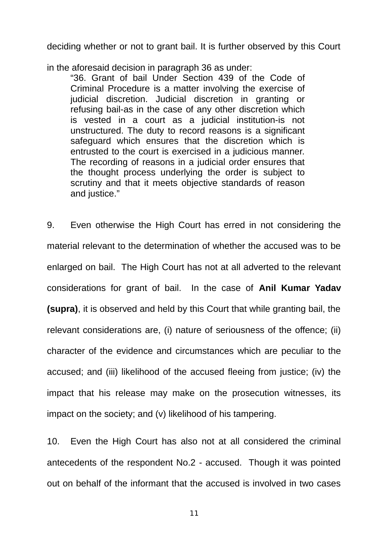deciding whether or not to grant bail. It is further observed by this Court

in the aforesaid decision in paragraph 36 as under:

"36. Grant of bail Under Section 439 of the Code of Criminal Procedure is a matter involving the exercise of judicial discretion. Judicial discretion in granting or refusing bail-as in the case of any other discretion which is vested in a court as a judicial institution-is not unstructured. The duty to record reasons is a significant safeguard which ensures that the discretion which is entrusted to the court is exercised in a judicious manner. The recording of reasons in a judicial order ensures that the thought process underlying the order is subject to scrutiny and that it meets objective standards of reason and justice."

9. Even otherwise the High Court has erred in not considering the material relevant to the determination of whether the accused was to be enlarged on bail. The High Court has not at all adverted to the relevant considerations for grant of bail. In the case of **Anil Kumar Yadav (supra)**, it is observed and held by this Court that while granting bail, the relevant considerations are, (i) nature of seriousness of the offence; (ii) character of the evidence and circumstances which are peculiar to the accused; and (iii) likelihood of the accused fleeing from justice; (iv) the impact that his release may make on the prosecution witnesses, its impact on the society; and (v) likelihood of his tampering.

10. Even the High Court has also not at all considered the criminal antecedents of the respondent No.2 - accused. Though it was pointed out on behalf of the informant that the accused is involved in two cases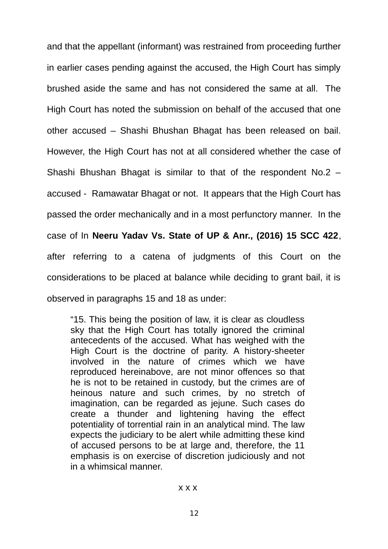and that the appellant (informant) was restrained from proceeding further in earlier cases pending against the accused, the High Court has simply brushed aside the same and has not considered the same at all. The High Court has noted the submission on behalf of the accused that one other accused – Shashi Bhushan Bhagat has been released on bail. However, the High Court has not at all considered whether the case of Shashi Bhushan Bhagat is similar to that of the respondent No.2 – accused - Ramawatar Bhagat or not. It appears that the High Court has passed the order mechanically and in a most perfunctory manner. In the case of In **Neeru Yadav Vs. State of UP & Anr., (2016) 15 SCC 422**, after referring to a catena of judgments of this Court on the considerations to be placed at balance while deciding to grant bail, it is observed in paragraphs 15 and 18 as under:

"15. This being the position of law, it is clear as cloudless sky that the High Court has totally ignored the criminal antecedents of the accused. What has weighed with the High Court is the doctrine of parity. A history-sheeter involved in the nature of crimes which we have reproduced hereinabove, are not minor offences so that he is not to be retained in custody, but the crimes are of heinous nature and such crimes, by no stretch of imagination, can be regarded as jejune. Such cases do create a thunder and lightening having the effect potentiality of torrential rain in an analytical mind. The law expects the judiciary to be alert while admitting these kind of accused persons to be at large and, therefore, the 11 emphasis is on exercise of discretion judiciously and not in a whimsical manner.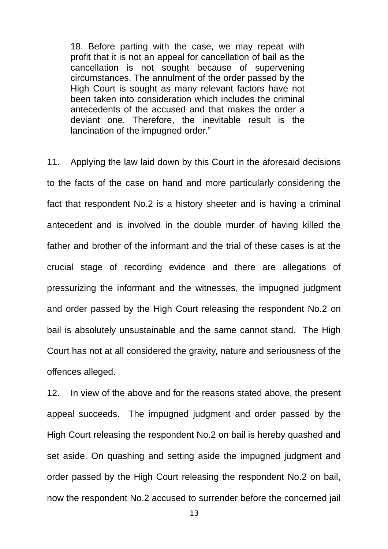18. Before parting with the case, we may repeat with profit that it is not an appeal for cancellation of bail as the cancellation is not sought because of supervening circumstances. The annulment of the order passed by the High Court is sought as many relevant factors have not been taken into consideration which includes the criminal antecedents of the accused and that makes the order a deviant one. Therefore, the inevitable result is the lancination of the impugned order."

11. Applying the law laid down by this Court in the aforesaid decisions to the facts of the case on hand and more particularly considering the fact that respondent No.2 is a history sheeter and is having a criminal antecedent and is involved in the double murder of having killed the father and brother of the informant and the trial of these cases is at the crucial stage of recording evidence and there are allegations of pressurizing the informant and the witnesses, the impugned judgment and order passed by the High Court releasing the respondent No.2 on bail is absolutely unsustainable and the same cannot stand. The High Court has not at all considered the gravity, nature and seriousness of the offences alleged.

12. In view of the above and for the reasons stated above, the present appeal succeeds. The impugned judgment and order passed by the High Court releasing the respondent No.2 on bail is hereby quashed and set aside. On quashing and setting aside the impugned judgment and order passed by the High Court releasing the respondent No.2 on bail, now the respondent No.2 accused to surrender before the concerned jail